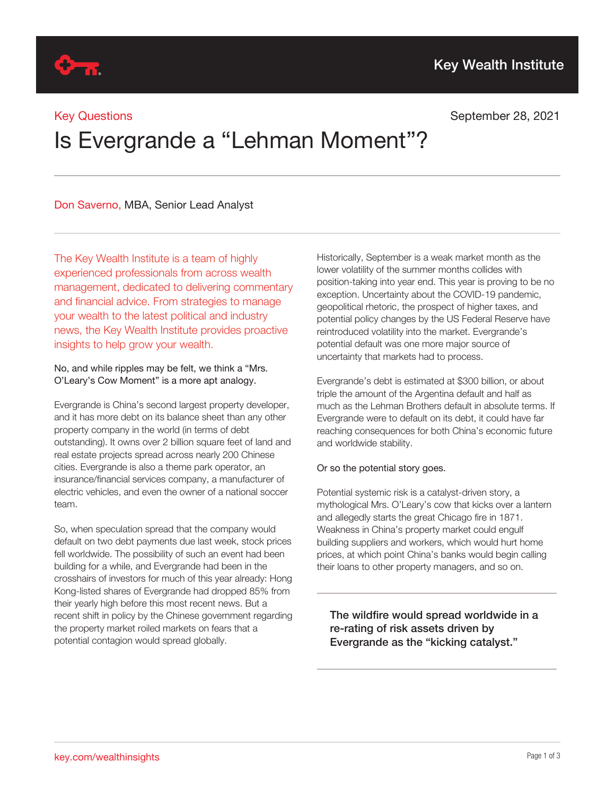## Key Questions

## September 28, 2021

# Is Evergrande a "Lehman Moment"?

Don Saverno, MBA, Senior Lead Analyst

The Key Wealth Institute is a team of highly experienced professionals from across wealth management, dedicated to delivering commentary and financial advice. From strategies to manage your wealth to the latest political and industry news, the Key Wealth Institute provides proactive insights to help grow your wealth.

#### No, and while ripples may be felt, we think a "Mrs. O'Leary's Cow Moment" is a more apt analogy.

Evergrande is China's second largest property developer, and it has more debt on its balance sheet than any other property company in the world (in terms of debt outstanding). It owns over 2 billion square feet of land and real estate projects spread across nearly 200 Chinese cities. Evergrande is also a theme park operator, an insurance/financial services company, a manufacturer of electric vehicles, and even the owner of a national soccer team.

So, when speculation spread that the company would default on two debt payments due last week, stock prices fell worldwide. The possibility of such an event had been building for a while, and Evergrande had been in the crosshairs of investors for much of this year already: Hong Kong-listed shares of Evergrande had dropped 85% from their yearly high before this most recent news. But a recent shift in policy by the Chinese government regarding the property market roiled markets on fears that a potential contagion would spread globally.

Historically, September is a weak market month as the lower volatility of the summer months collides with position-taking into year end. This year is proving to be no exception. Uncertainty about the COVID-19 pandemic, geopolitical rhetoric, the prospect of higher taxes, and potential policy changes by the US Federal Reserve have reintroduced volatility into the market. Evergrande's potential default was one more major source of uncertainty that markets had to process.

Evergrande's debt is estimated at \$300 billion, or about triple the amount of the Argentina default and half as much as the Lehman Brothers default in absolute terms. If Evergrande were to default on its debt, it could have far reaching consequences for both China's economic future and worldwide stability.

### Or so the potential story goes.

Potential systemic risk is a catalyst-driven story, a mythological Mrs. O'Leary's cow that kicks over a lantern and allegedly starts the great Chicago fire in 1871. Weakness in China's property market could engulf building suppliers and workers, which would hurt home prices, at which point China's banks would begin calling their loans to other property managers, and so on.

The wildfire would spread worldwide in a re-rating of risk assets driven by Evergrande as the "kicking catalyst."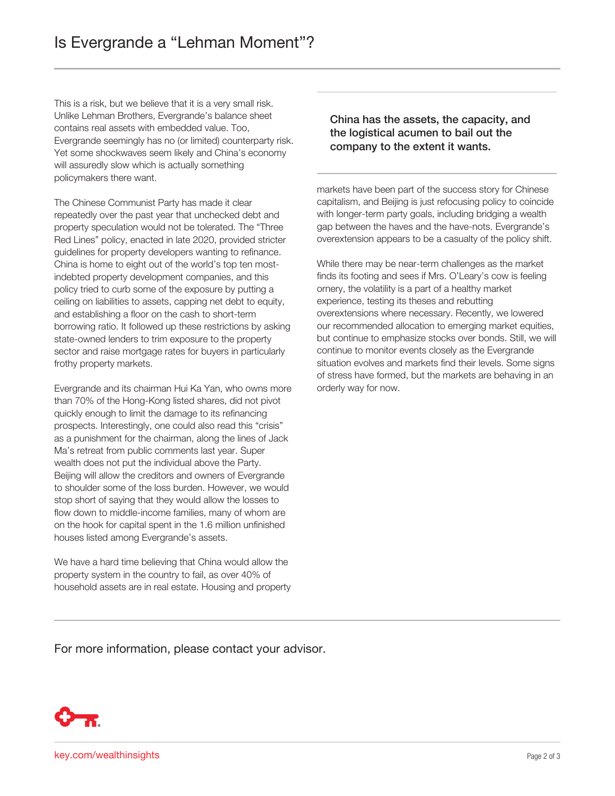This is a risk, but we believe that it is a very small risk. Unlike Lehman Brothers, Evergrande's balance sheet contains real assets with embedded value. Too, Evergrande seemingly has no (or limited) counterparty risk. Yet some shockwaves seem likely and China's economy will assuredly slow which is actually something policymakers there want.

The Chinese Communist Party has made it clear repeatedly over the past year that unchecked debt and property speculation would not be tolerated. The "Three Red Lines" policy, enacted in late 2020, provided stricter guidelines for property developers wanting to refinance. China is home to eight out of the world's top ten mostindebted property development companies, and this policy tried to curb some of the exposure by putting a ceiling on liabilities to assets, capping net debt to equity, and establishing a floor on the cash to short-term borrowing ratio. It followed up these restrictions by asking state-owned lenders to trim exposure to the property sector and raise mortgage rates for buyers in particularly frothy property markets.

Evergrande and its chairman Hui Ka Yan, who owns more than 70% of the Hong-Kong listed shares, did not pivot quickly enough to limit the damage to its refinancing prospects. Interestingly, one could also read this "crisis" as a punishment for the chairman, along the lines of Jack Ma's retreat from public comments last year. Super wealth does not put the individual above the Party. Beijing will allow the creditors and owners of Evergrande to shoulder some of the loss burden. However, we would stop short of saying that they would allow the losses to flow down to middle-income families, many of whom are on the hook for capital spent in the 1.6 million unfinished houses listed among Evergrande's assets.

We have a hard time believing that China would allow the property system in the country to fail, as over 40% of household assets are in real estate. Housing and property China has the assets, the capacity, and the logistical acumen to bail out the company to the extent it wants.

markets have been part of the success story for Chinese capitalism, and Beijing is just refocusing policy to coincide with longer-term party goals, including bridging a wealth gap between the haves and the have-nots. Evergrande's overextension appears to be a casualty of the policy shift.

While there may be near-term challenges as the market finds its footing and sees if Mrs. O'Leary's cow is feeling ornery, the volatility is a part of a healthy market experience, testing its theses and rebutting overextensions where necessary. Recently, we lowered our recommended allocation to emerging market equities, but continue to emphasize stocks over bonds. Still, we will continue to monitor events closely as the Evergrande situation evolves and markets find their levels. Some signs of stress have formed, but the markets are behaving in an orderly way for now.

For more information, please contact your advisor.